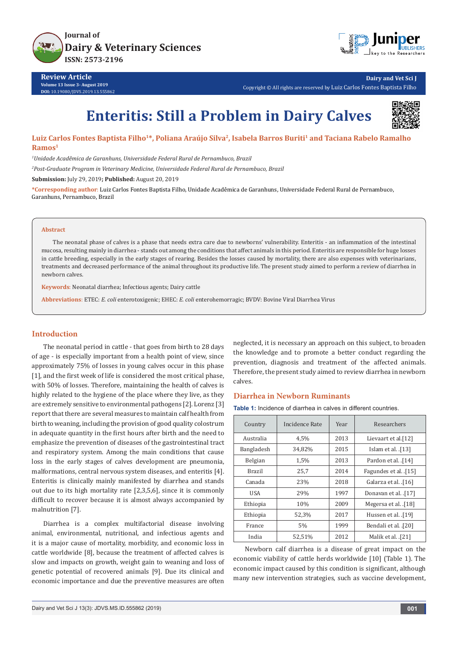



**Dairy and Vet Sci J** Copyright © All rights are reserved by Luiz Carlos Fontes Baptista Filho

# **Enteritis: Still a Problem in Dairy Calves**



## Luiz Carlos Fontes Baptista Filho<sup>1\*</sup>, Poliana Araújo Silva<sup>2</sup>, Isabela Barros Buriti<sup>1</sup> and Taciana Rabelo Ramalho **Ramos1**

*1 Unidade Acadêmica de Garanhuns, Universidade Federal Rural de Pernambuco, Brazil*

*2 Post-Graduate Program in Veterinary Medicine, Universidade Federal Rural de Pernambuco, Brazil*

**Submission:** July 29, 2019**; Published:** August 20, 2019

**\*Corresponding author**: Luiz Carlos Fontes Baptista Filho, Unidade Acadêmica de Garanhuns, Universidade Federal Rural de Pernambuco, Garanhuns, Pernambuco, Brazil

#### **Abstract**

The neonatal phase of calves is a phase that needs extra care due to newborns' vulnerability. Enteritis - an inflammation of the intestinal mucosa, resulting mainly in diarrhea - stands out among the conditions that affect animals in this period. Enteritis are responsible for huge losses in cattle breeding, especially in the early stages of rearing. Besides the losses caused by mortality, there are also expenses with veterinarians, treatments and decreased performance of the animal throughout its productive life. The present study aimed to perform a review of diarrhea in newborn calves.

**Keywords**: Neonatal diarrhea; Infectious agents; Dairy cattle

**Abbreviations**: ETEC: *E. coli* enterotoxigenic; EHEC: *E. coli* enterohemorragic; BVDV: Bovine Viral Diarrhea Virus

## **Introduction**

The neonatal period in cattle - that goes from birth to 28 days of age - is especially important from a health point of view, since approximately 75% of losses in young calves occur in this phase [1], and the first week of life is considered the most critical phase, with 50% of losses. Therefore, maintaining the health of calves is highly related to the hygiene of the place where they live, as they are extremely sensitive to environmental pathogens [2]. Lorenz [3] report that there are several measures to maintain calf health from birth to weaning, including the provision of good quality colostrum in adequate quantity in the first hours after birth and the need to emphasize the prevention of diseases of the gastrointestinal tract and respiratory system. Among the main conditions that cause loss in the early stages of calves development are pneumonia, malformations, central nervous system diseases, and enteritis [4]. Enteritis is clinically mainly manifested by diarrhea and stands out due to its high mortality rate [2,3,5,6], since it is commonly difficult to recover because it is almost always accompanied by malnutrition [7].

Diarrhea is a complex multifactorial disease involving animal, environmental, nutritional, and infectious agents and it is a major cause of mortality, morbidity, and economic loss in cattle worldwide [8], because the treatment of affected calves is slow and impacts on growth, weight gain to weaning and loss of genetic potential of recovered animals [9]. Due its clinical and economic importance and due the preventive measures are often

neglected, it is necessary an approach on this subject, to broaden the knowledge and to promote a better conduct regarding the prevention, diagnosis and treatment of the affected animals. Therefore, the present study aimed to review diarrhea in newborn calves.

#### **Diarrhea in Newborn Ruminants**

**Table 1:** Incidence of diarrhea in calves in different countries.

| Country    | Incidence Rate | Year | Researchers          |  |
|------------|----------------|------|----------------------|--|
| Australia  | 4,5%           | 2013 | Lievaart et al.[12]  |  |
| Bangladesh | 34,82%         | 2015 | Islam et al. [13]    |  |
| Belgian    | 1,5%           | 2013 | Pardon et al. [14]   |  |
| Brazil     | 25,7           | 2014 | Fagundes et al. [15] |  |
| Canada     | 23%            | 2018 | Galarza et al. [16]  |  |
| USA        | 29%            | 1997 | Donavan et al. [17]  |  |
| Ethiopia   | 10%            | 2009 | Megersa et al. [18]  |  |
| Ethiopia   | 52,3%          | 2017 | Hussen et al. [19]   |  |
| France     | 5%             | 1999 | Bendali et al. [20]  |  |
| India      | 52.51%         | 2012 | Malik et al. [21]    |  |

Newborn calf diarrhea is a disease of great impact on the economic viability of cattle herds worldwide [10] (Table 1). The economic impact caused by this condition is significant, although many new intervention strategies, such as vaccine development,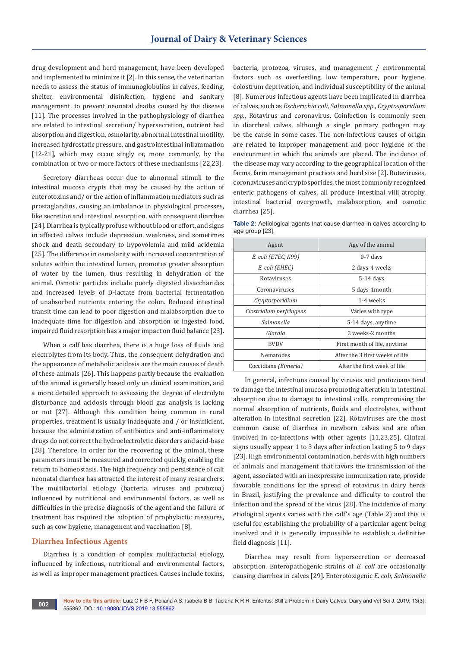drug development and herd management, have been developed and implemented to minimize it [2]. In this sense, the veterinarian needs to assess the status of immunoglobulins in calves, feeding, shelter, environmental disinfection, hygiene and sanitary management, to prevent neonatal deaths caused by the disease [11]. The processes involved in the pathophysiology of diarrhea are related to intestinal secretion/ hypersecretion, nutrient bad absorption and digestion, osmolarity, abnormal intestinal motility, increased hydrostatic pressure, and gastrointestinal inflammation [12-21], which may occur singly or, more commonly, by the combination of two or more factors of these mechanisms [22,23].

Secretory diarrheas occur due to abnormal stimuli to the intestinal mucosa crypts that may be caused by the action of enterotoxins and/ or the action of inflammation mediators such as prostaglandins, causing an imbalance in physiological processes, like secretion and intestinal resorption, with consequent diarrhea [24]. Diarrhea is typically profuse without blood or effort, and signs in affected calves include depression, weakness, and sometimes shock and death secondary to hypovolemia and mild acidemia [25]. The difference in osmolarity with increased concentration of solutes within the intestinal lumen, promotes greater absorption of water by the lumen, thus resulting in dehydration of the animal. Osmotic particles include poorly digested disaccharides and increased levels of D-lactate from bacterial fermentation of unabsorbed nutrients entering the colon. Reduced intestinal transit time can lead to poor digestion and malabsorption due to inadequate time for digestion and absorption of ingested food, impaired fluid resorption has a major impact on fluid balance [23].

When a calf has diarrhea, there is a huge loss of fluids and electrolytes from its body. Thus, the consequent dehydration and the appearance of metabolic acidosis are the main causes of death of these animals [26]. This happens partly because the evaluation of the animal is generally based only on clinical examination, and a more detailed approach to assessing the degree of electrolyte disturbance and acidosis through blood gas analysis is lacking or not [27]. Although this condition being common in rural properties, treatment is usually inadequate and / or insufficient, because the administration of antibiotics and anti-inflammatory drugs do not correct the hydroelectrolytic disorders and acid-base [28]. Therefore, in order for the recovering of the animal, these parameters must be measured and corrected quickly, enabling the return to homeostasis. The high frequency and persistence of calf neonatal diarrhea has attracted the interest of many researchers. The multifactorial etiology (bacteria, viruses and protozoa) influenced by nutritional and environmental factors, as well as difficulties in the precise diagnosis of the agent and the failure of treatment has required the adoption of prophylactic measures, such as cow hygiene, management and vaccination [8].

## **Diarrhea Infectious Agents**

Diarrhea is a condition of complex multifactorial etiology, influenced by infectious, nutritional and environmental factors, as well as improper management practices. Causes include toxins, bacteria, protozoa, viruses, and management / environmental factors such as overfeeding, low temperature, poor hygiene, colostrum deprivation, and individual susceptibility of the animal [8]. Numerous infectious agents have been implicated in diarrhea of calves, such as *Escherichia coli, Salmonella spp., Cryptosporidium spp*., Rotavirus and coronavirus. Coinfection is commonly seen in diarrheal calves, although a single primary pathogen may be the cause in some cases. The non-infectious causes of origin are related to improper management and poor hygiene of the environment in which the animals are placed. The incidence of the disease may vary according to the geographical location of the farms, farm management practices and herd size [2]. Rotaviruses, coronaviruses and cryptosporides, the most commonly recognized enteric pathogens of calves, all produce intestinal villi atrophy, intestinal bacterial overgrowth, malabsorption, and osmotic diarrhea [25].

**Table 2:** Aetiological agents that cause diarrhea in calves according to age group [23].

| Agent                   | Age of the animal               |  |
|-------------------------|---------------------------------|--|
| E. coli (ETEC, K99)     | $0-7$ days                      |  |
| E. coli (EHEC)          | 2 days-4 weeks                  |  |
| Rotaviruses             | $5-14$ days                     |  |
| Coronaviruses           | 5 days-1month                   |  |
| Cryptosporidium         | 1-4 weeks                       |  |
| Clostridium perfringens | Varies with type                |  |
| Salmonella              | 5-14 days, anytime              |  |
| Giardia                 | 2 weeks-2 months                |  |
| <b>BVDV</b>             | First month of life, anytime    |  |
| Nematodes               | After the 3 first weeks of life |  |
| Coccidians (Eimeria)    | After the first week of life    |  |

In general, infections caused by viruses and protozoans tend to damage the intestinal mucosa promoting alteration in intestinal absorption due to damage to intestinal cells, compromising the normal absorption of nutrients, fluids and electrolytes, without alteration in intestinal secretion [22]. Rotaviruses are the most common cause of diarrhea in newborn calves and are often involved in co-infections with other agents [11,23,25]. Clinical signs usually appear 1 to 3 days after infection lasting 5 to 9 days [23]. High environmental contamination, herds with high numbers of animals and management that favors the transmission of the agent, associated with an inexpressive immunization rate, provide favorable conditions for the spread of rotavirus in dairy herds in Brazil, justifying the prevalence and difficulty to control the infection and the spread of the virus [28]. The incidence of many etiological agents varies with the calf's age (Table 2) and this is useful for establishing the probability of a particular agent being involved and it is generally impossible to establish a definitive field diagnosis [11].

Diarrhea may result from hypersecretion or decreased absorption. Enteropathogenic strains of *E. coli* are occasionally causing diarrhea in calves [29]. Enterotoxigenic *E. coli, Salmonella*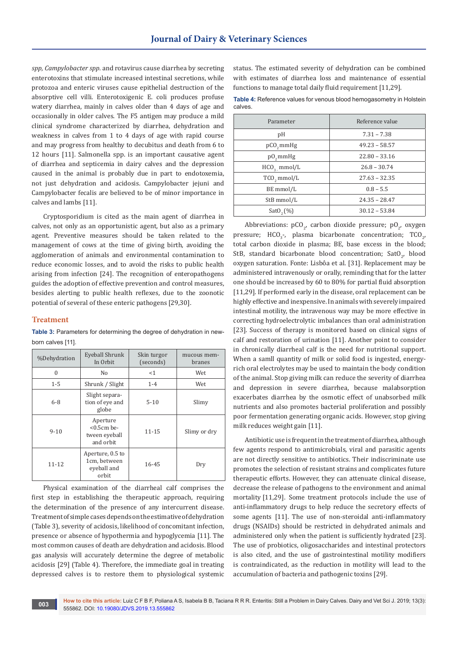*spp, Campylobacter spp*. and rotavirus cause diarrhea by secreting enterotoxins that stimulate increased intestinal secretions, while protozoa and enteric viruses cause epithelial destruction of the absorptive cell villi. Enterotoxigenic E. coli produces profuse watery diarrhea, mainly in calves older than 4 days of age and occasionally in older calves. The F5 antigen may produce a mild clinical syndrome characterized by diarrhea, dehydration and weakness in calves from 1 to 4 days of age with rapid course and may progress from healthy to decubitus and death from 6 to 12 hours [11]. Salmonella spp. is an important causative agent of diarrhea and septicemia in dairy calves and the depression caused in the animal is probably due in part to endotoxemia, not just dehydration and acidosis. Campylobacter jejuni and Campylobacter fecalis are believed to be of minor importance in calves and lambs [11].

Cryptosporidium is cited as the main agent of diarrhea in calves, not only as an opportunistic agent, but also as a primary agent. Preventive measures should be taken related to the management of cows at the time of giving birth, avoiding the agglomeration of animals and environmental contamination to reduce economic losses, and to avoid the risks to public health arising from infection [24]. The recognition of enteropathogens guides the adoption of effective prevention and control measures, besides alerting to public health reflexes, due to the zoonotic potential of several of these enteric pathogens [29,30].

#### **Treatment**

Table 3: Parameters for determining the degree of dehydration in newborn calves [11].

| %Dehydration | Eyeball Shrunk<br>In Orbit                               | Skin turgor<br>(seconds) | mucous mem-<br><b>branes</b> |
|--------------|----------------------------------------------------------|--------------------------|------------------------------|
| $\theta$     | No                                                       | <1                       | Wet                          |
| $1 - 5$      | Shrunk / Slight                                          | $1 - 4$                  | Wet                          |
| $6 - 8$      | Slight separa-<br>tion of eye and<br>globe               | $5 - 10$                 | Slimy                        |
| $9 - 10$     | Aperture<br>$< 0.5$ cm be-<br>tween eyeball<br>and orbit | $11 - 15$                | Slimy or dry                 |
| $11 - 12$    | Aperture, 0.5 to<br>1cm, between<br>eyeball and<br>orbit | 16-45                    | Dry                          |

Physical examination of the diarrheal calf comprises the first step in establishing the therapeutic approach, requiring the determination of the presence of any intercurrent disease. Treatment of simple cases depends on the estimative of dehydration (Table 3), severity of acidosis, likelihood of concomitant infection, presence or absence of hypothermia and hypoglycemia [11]. The most common causes of death are dehydration and acidosis. Blood gas analysis will accurately determine the degree of metabolic acidosis [29] (Table 4). Therefore, the immediate goal in treating depressed calves is to restore them to physiological systemic

status. The estimated severity of dehydration can be combined with estimates of diarrhea loss and maintenance of essential functions to manage total daily fluid requirement [11,29].

**Table 4:** Reference values for venous blood hemogasometry in Holstein calves.

| Reference value |  |  |
|-----------------|--|--|
| $7.31 - 7.38$   |  |  |
| $49.23 - 58.57$ |  |  |
| $22.80 - 33.16$ |  |  |
| $26.8 - 30.74$  |  |  |
| $27.63 - 32.35$ |  |  |
| $0.8 - 5.5$     |  |  |
| $24.35 - 28.47$ |  |  |
| $30.12 - 53.84$ |  |  |
|                 |  |  |

Abbreviations:  $pCO_{2'}$  carbon dioxide pressure;  $pO_{2'}$  oxygen pressure;  $HCO_{3}$ -, plasma bicarbonate concentration; TCO<sub>2</sub>, total carbon dioxide in plasma; BE, base excess in the blood; StB, standard bicarbonate blood concentration;  $\text{SatO}_{2'}$  blood oxygen saturation. Fonte: Lisbôa et al. [31]. Replacement may be administered intravenously or orally, reminding that for the latter one should be increased by 60 to 80% for partial fluid absorption [11,29]. If performed early in the disease, oral replacement can be highly effective and inexpensive. In animals with severely impaired intestinal motility, the intravenous way may be more effective in correcting hydroelectrolytic imbalances than oral administration [23]. Success of therapy is monitored based on clinical signs of calf and restoration of urination [11]. Another point to consider in chronically diarrheal calf is the need for nutritional support. When a samll quantity of milk or solid food is ingested, energyrich oral electrolytes may be used to maintain the body condition of the animal. Stop giving milk can reduce the severity of diarrhea and depression in severe diarrhea, because malabsorption exacerbates diarrhea by the osmotic effect of unabsorbed milk nutrients and also promotes bacterial proliferation and possibly poor fermentation generating organic acids. However, stop giving milk reduces weight gain [11].

Antibiotic use is frequent in the treatment of diarrhea, although few agents respond to antimicrobials, viral and parasitic agents are not directly sensitive to antibiotics. Their indiscriminate use promotes the selection of resistant strains and complicates future therapeutic efforts. However, they can attenuate clinical disease, decrease the release of pathogens to the environment and animal mortality [11,29]. Some treatment protocols include the use of anti-inflammatory drugs to help reduce the secretory effects of some agents [11]. The use of non-steroidal anti-inflammatory drugs (NSAIDs) should be restricted in dehydrated animals and administered only when the patient is sufficiently hydrated [23]. The use of probiotics, oligosaccharides and intestinal protectors is also cited, and the use of gastrointestinal motility modifiers is contraindicated, as the reduction in motility will lead to the accumulation of bacteria and pathogenic toxins [29].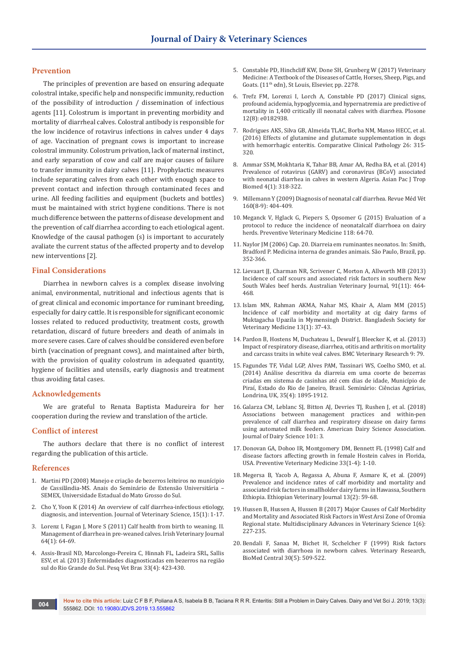## **Prevention**

The principles of prevention are based on ensuring adequate colostral intake, specific help and nonspecific immunity, reduction of the possibility of introduction / dissemination of infectious agents [11]. Colostrum is important in preventing morbidity and mortality of diarrheal calves. Colostral antibody is responsible for the low incidence of rotavirus infections in calves under 4 days of age. Vaccination of pregnant cows is important to increase colostral immunity. Colostrum privation, lack of maternal instinct, and early separation of cow and calf are major causes of failure to transfer immunity in dairy calves [11]. Prophylactic measures include separating calves from each other with enough space to prevent contact and infection through contaminated feces and urine. All feeding facilities and equipment (buckets and bottles) must be maintained with strict hygiene conditions. There is not much difference between the patterns of disease development and the prevention of calf diarrhea according to each etiological agent. Knowledge of the causal pathogen (s) is important to accurately avaliate the current status of the affected property and to develop new interventions [2].

#### **Final Considerations**

Diarrhea in newborn calves is a complex disease involving animal, environmental, nutritional and infectious agents that is of great clinical and economic importance for ruminant breeding, especially for dairy cattle. It is responsible for significant economic losses related to reduced productivity, treatment costs, growth retardation, discard of future breeders and death of animals in more severe cases. Care of calves should be considered even before birth (vaccination of pregnant cows), and maintained after birth, with the provision of quality colostrum in adequated quantity, hygiene of facilities and utensils, early diagnosis and treatment thus avoiding fatal cases.

#### **Acknowledgements**

We are grateful to Renata Baptista Madureira for her cooperation during the review and translation of the article.

## **Conflict of interest**

The authors declare that there is no conflict of interest regarding the publication of this article.

#### **References**

- 1. Martini PD (2008) Manejo e criação de bezerros leiteiros no munícipio de Cassilândia-MS. Anais do Seminário de Extensão Universitária – SEMEX, Universidade Estadual do Mato Grosso do Sul.
- 2. Cho Y, Yoon K (2014) An overview of calf diarrhea-infectious etiology, diagnosis, and intervention. Journal of Veterinary Science, 15(1): 1-17.
- 3. [Lorenz I, Fagan J, More S \(2011\) Calf health from birth to weaning. II.](https://irishvetjournal.biomedcentral.com/articles/10.1186/2046-0481-64-10)  [Management of diarrhea in pre-weaned calves. Irish Veterinary Journal](https://irishvetjournal.biomedcentral.com/articles/10.1186/2046-0481-64-10)  [64\(1\): 64-69.](https://irishvetjournal.biomedcentral.com/articles/10.1186/2046-0481-64-10)
- 4. [Assis-Brasil ND, Marcolongo-Pereira C, Hinnah FL, Ladeira SRL, Sallis](http://www.scielo.br/scielo.php?pid=S0100-736X2013000400002&script=sci_abstract&tlng=pt)  [ESV, et al. \(2013\) Enfermidades diagnosticadas em bezerros na região](http://www.scielo.br/scielo.php?pid=S0100-736X2013000400002&script=sci_abstract&tlng=pt)  [sul do Rio Grande do Sul. Pesq Vet Bras 33\(4\): 423-430.](http://www.scielo.br/scielo.php?pid=S0100-736X2013000400002&script=sci_abstract&tlng=pt)
- 5. Constable PD, Hinchcliff KW, Done SH, Grunberg W (2017) Veterinary Medicine: A Textbook of the Diseases of Cattle, Horses, Sheep, Pigs, and Goats. (11th edn), St Louis, Elsevier, pp. 2278.
- 6. [Trefz FM, Lorenzi I, Lorch A, Constable PD \(2017\) Clinical signs,](https://www.ncbi.nlm.nih.gov/pubmed/28817693)  [profound acidemia, hypoglycemia, and hypernatremia are predictive of](https://www.ncbi.nlm.nih.gov/pubmed/28817693)  [mortality in 1,400 critically ill neonatal calves with diarrhea. Plosone](https://www.ncbi.nlm.nih.gov/pubmed/28817693)  [12\(8\): e0182938.](https://www.ncbi.nlm.nih.gov/pubmed/28817693)
- 7. Rodrigues AKS, Silva GB, Almeida TLAC, Borba NM, Manso HECC, et al. (2016) Effects of glutamine and glutamate supplementation in dogs with hemorrhagic enteritis. Comparative Clinical Pathology 26: 315- 320.
- 8. [Ammar SSM, Mokhtaria K, Tahar BB, Amar AA, Redha BA, et al. \(2014\)](https://www.ncbi.nlm.nih.gov/pubmed/25183104)  [Prevalence of rotavirus \(GARV\) and coronavirus \(BCoV\) associated](https://www.ncbi.nlm.nih.gov/pubmed/25183104)  [with neonatal diarrhea in calves in western Algeria. Asian Pac J Trop](https://www.ncbi.nlm.nih.gov/pubmed/25183104)  [Biomed 4\(1\): 318-322.](https://www.ncbi.nlm.nih.gov/pubmed/25183104)
- 9. [Millemann Y \(2009\) Diagnosis of neonatal calf diarrhea. Revue Méd Vét](https://www.revmedvet.com/artdes-us.php?id=1739)  [160\(8-9\): 404-409.](https://www.revmedvet.com/artdes-us.php?id=1739)
- 10. [Meganck V, Hglack G, Piepers S, Opsomer G \(2015\) Evaluation of a](https://www.ncbi.nlm.nih.gov/pubmed/25475689)  [protocol to reduce the incidence of neonatalcalf diarrhoea on dairy](https://www.ncbi.nlm.nih.gov/pubmed/25475689)  [herds. Preventive Veterinary Medicine 118: 64-70.](https://www.ncbi.nlm.nih.gov/pubmed/25475689)
- 11. Naylor JM (2006) Cap. 20. Diarreia em ruminantes neonatos. In: Smith, Bradford P. Medicina interna de grandes animais. São Paulo, Brazil, pp. 352-366.
- 12. [Lievaart JJ, Charman NR, Scrivener C, Morton A, Allworth MB \(2013\)](https://www.ncbi.nlm.nih.gov/pubmed/24571301)  [Incidence of calf scours and associated risk factors in southern New](https://www.ncbi.nlm.nih.gov/pubmed/24571301)  [South Wales beef herds. Australian Veterinary Journal, 91\(11\): 464-](https://www.ncbi.nlm.nih.gov/pubmed/24571301) [468.](https://www.ncbi.nlm.nih.gov/pubmed/24571301)
- 13. [Islam MN, Rahman AKMA, Nahar MS, Khair A, Alam MM \(2015\)](https://www.banglajol.info/index.php/BJVM/article/view/23715)  [Incidence of calf morbidity and mortality at cig dairy farms of](https://www.banglajol.info/index.php/BJVM/article/view/23715)  [Muktagacha Upazila in Mymensingh District. Bangladesh Society for](https://www.banglajol.info/index.php/BJVM/article/view/23715)  [Veterinary Medicine 13\(1\): 37-43.](https://www.banglajol.info/index.php/BJVM/article/view/23715)
- 14. [Pardon B, Hostens M, Duchateau L, Dewulf J, Bleecker K, et al. \(2013\)](https://bmcvetres.biomedcentral.com/articles/10.1186/1746-6148-9-79)  [Impact of respiratory disease, diarrhea, otitis and arthritis on mortality](https://bmcvetres.biomedcentral.com/articles/10.1186/1746-6148-9-79)  [and carcass traits in white veal calves. BMC Veterinary Research 9: 79.](https://bmcvetres.biomedcentral.com/articles/10.1186/1746-6148-9-79)
- 15. [Fagundes TF, Vidal LGP, Alves PAM, Tassinari WS, Coelho SMO, et al.](http://www.redalyc.org/articulo.oa?id=445744142020_5)  [\(2014\) Análise descritiva da diarreia em uma coorte de bezerras](http://www.redalyc.org/articulo.oa?id=445744142020_5)  [criadas em sistema de casinhas até cem dias de idade, Município de](http://www.redalyc.org/articulo.oa?id=445744142020_5)  [Piraí, Estado do Rio de Janeiro, Brasil. Seminário: Ciências Agrárias,](http://www.redalyc.org/articulo.oa?id=445744142020_5)  [Londrina, UK, 35\(4\): 1895-1912.](http://www.redalyc.org/articulo.oa?id=445744142020_5)
- 16. Galarza CM, Leblanc SJ, Bitton AJ, Devries TJ, Rushen J, et al. (2018) Associations between management practices and within-pen prevalence of calf diarrhea and respiratory disease on dairy farms using automated milk feeders. American Dairy Science Association. Journal of Dairy Science 101: 3.
- 17. [Donovan GA, Dohoo IR, Montgomery DM, Bennett FL \(1998\) Calf and](https://www.ncbi.nlm.nih.gov/pubmed/9500160)  [disease factors affecting growth in female Hostein calves in Florida,](https://www.ncbi.nlm.nih.gov/pubmed/9500160)  [USA. Preventive Veterinary Medicine 33\(1-4\): 1-10.](https://www.ncbi.nlm.nih.gov/pubmed/9500160)
- 18. Megersa B, Yacob A, Regassa A, Abuna F, Asmare K, et al. (2009) Prevalence and incidence rates of calf morbidity and mortality and associated risk factors in smallholder dairy farms in Hawassa, Southern Ethiopia. Ethiopian Veterinary Journal 13(2): 59-68.
- 19. Hussen B, Hussen A, Hussen B (2017) Major Causes of Calf Morbidity and Mortality and Associated Risk Factors in West Arsi Zone of Oromia Regional state. Multidisciplinary Advances in Veterinary Science 1(6): 227-235.
- 20. [Bendali F, Sanaa M, Bichet H, Scchelcher F \(1999\) Risk factors](https://www.ncbi.nlm.nih.gov/pubmed/10543385)  [associated with diarrhoea in newborn calves. Veterinary Research,](https://www.ncbi.nlm.nih.gov/pubmed/10543385)  [BioMed Central 30\(5\): 509-522.](https://www.ncbi.nlm.nih.gov/pubmed/10543385)